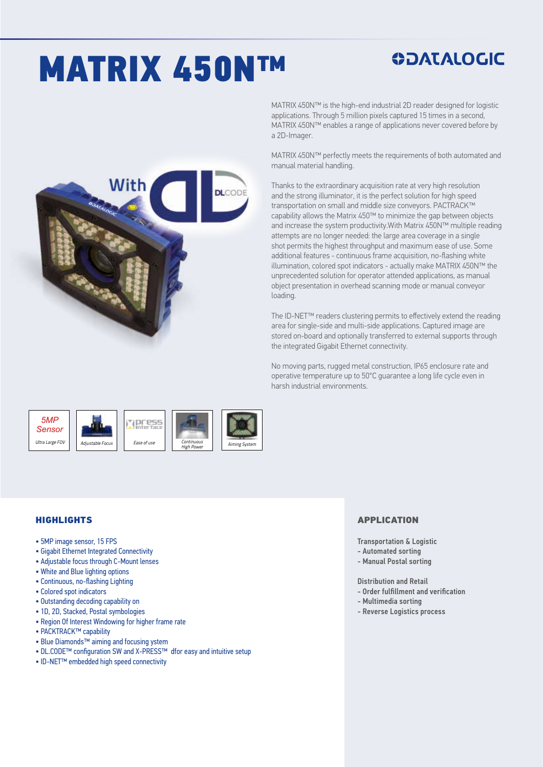# MATRIX 450N™

### **ODATALOGIC**

MATRIX 450N™ is the high-end industrial 2D reader designed for logistic applications. Through 5 million pixels captured 15 times in a second, MATRIX 450N™ enables a range of applications never covered before by a 2D-Imager.

MATRIX 450N™ perfectly meets the requirements of both automated and manual material handling.

Thanks to the extraordinary acquisition rate at very high resolution and the strong illuminator, it is the perfect solution for high speed transportation on small and middle size conveyors. PACTRACK™ capability allows the Matrix 450™ to minimize the gap between objects and increase the system productivity.With Matrix 450N™ multiple reading attempts are no longer needed: the large area coverage in a single shot permits the highest throughput and maximum ease of use. Some additional features - continuous frame acquisition, no-flashing white illumination, colored spot indicators - actually make MATRIX 450N™ the unprecedented solution for operator attended applications, as manual object presentation in overhead scanning mode or manual conveyor loading.

The ID-NET™ readers clustering permits to effectively extend the reading area for single-side and multi-side applications. Captured image are stored on-board and optionally transferred to external supports through the integrated Gigabit Ethernet connectivity.

No moving parts, rugged metal construction, IP65 enclosure rate and operative temperature up to 50°C guarantee a long life cycle even in harsh industrial environments.



#### **HIGHLIGHTS**

- 5MP image sensor, 15 FPS
- Gigabit Ethernet Integrated Connectivity
- Adjustable focus through C-Mount lenses
- White and Blue lighting options
- Continuous, no-flashing Lighting
- Colored spot indicators
- Outstanding decoding capability on
- 1D, 2D, Stacked, Postal symbologies
- Region Of Interest Windowing for higher frame rate
- PACKTRACK™ capability
- Blue Diamonds™ aiming and focusing ystem
- DL.CODE™ configuration SW and X-PRESS™ dfor easy and intuitive setup
- ID-NET™ embedded high speed connectivity

#### APPLICATION

- Transportation & Logistic
- Automated sorting
- Manual Postal sorting

#### Distribution and Retail

- Order fulfillment and verification
- Multimedia sorting
- Reverse Logistics process